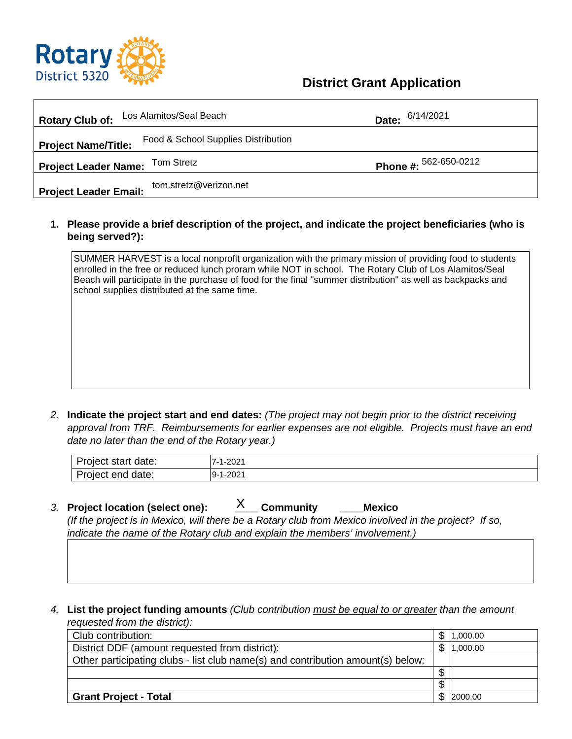

## **District Grant Application**

| Los Alamitos/Seal Beach<br><b>Rotary Club of:</b>                                                | Date: 6/14/2021                                                                                                                                                                                                                                                                                                                                                                                                                                                                                                                                   |                |
|--------------------------------------------------------------------------------------------------|---------------------------------------------------------------------------------------------------------------------------------------------------------------------------------------------------------------------------------------------------------------------------------------------------------------------------------------------------------------------------------------------------------------------------------------------------------------------------------------------------------------------------------------------------|----------------|
| <b>Project Name/Title:</b>                                                                       | Food & School Supplies Distribution                                                                                                                                                                                                                                                                                                                                                                                                                                                                                                               |                |
| <b>Tom Stretz</b><br><b>Project Leader Name:</b>                                                 | Phone #: 562-650-0212                                                                                                                                                                                                                                                                                                                                                                                                                                                                                                                             |                |
| tom.stretz@verizon.net<br><b>Project Leader Email:</b>                                           |                                                                                                                                                                                                                                                                                                                                                                                                                                                                                                                                                   |                |
| being served?):                                                                                  | 1. Please provide a brief description of the project, and indicate the project beneficiaries (who is                                                                                                                                                                                                                                                                                                                                                                                                                                              |                |
| school supplies distributed at the same time.<br>date no later than the end of the Rotary year.) | SUMMER HARVEST is a local nonprofit organization with the primary mission of providing food to students<br>enrolled in the free or reduced lunch proram while NOT in school. The Rotary Club of Los Alamitos/Seal<br>Beach will participate in the purchase of food for the final "summer distribution" as well as backpacks and<br>2. Indicate the project start and end dates: (The project may not begin prior to the district receiving<br>approval from TRF. Reimbursements for earlier expenses are not eligible. Projects must have an end |                |
| Project start date:                                                                              | 7-1-2021                                                                                                                                                                                                                                                                                                                                                                                                                                                                                                                                          |                |
| Project end date:                                                                                | $9 - 1 - 2021$                                                                                                                                                                                                                                                                                                                                                                                                                                                                                                                                    |                |
| 3. Project location (select one):                                                                | X<br><b>Community</b><br><b>Mexico</b><br>(If the project is in Mexico, will there be a Rotary club from Mexico involved in the project? If so,<br>indicate the name of the Rotary club and explain the members' involvement.)                                                                                                                                                                                                                                                                                                                    |                |
| 4.<br>requested from the district):                                                              | List the project funding amounts (Club contribution must be equal to or greater than the amount                                                                                                                                                                                                                                                                                                                                                                                                                                                   |                |
| Club contribution:                                                                               |                                                                                                                                                                                                                                                                                                                                                                                                                                                                                                                                                   | \$<br>1,000.00 |
| District DDF (amount requested from district):                                                   |                                                                                                                                                                                                                                                                                                                                                                                                                                                                                                                                                   | \$<br>1,000.00 |
|                                                                                                  | Other participating clubs - list club name(s) and contribution amount(s) below:                                                                                                                                                                                                                                                                                                                                                                                                                                                                   |                |
|                                                                                                  |                                                                                                                                                                                                                                                                                                                                                                                                                                                                                                                                                   | \$             |
|                                                                                                  |                                                                                                                                                                                                                                                                                                                                                                                                                                                                                                                                                   | \$             |
| <b>Grant Project - Total</b>                                                                     |                                                                                                                                                                                                                                                                                                                                                                                                                                                                                                                                                   | \$<br>2000.00  |

| $\overline{\phantom{0}}$<br>date:<br>.<br>. איטווואי אי<br>siar | $1 - 202'$<br>–<br>___ |
|-----------------------------------------------------------------|------------------------|
| Project<br>date:<br>ena                                         | 1-2021<br>-9           |

- *3.* **Project location (select one): \_\_\_\_ Community \_\_\_\_Mexico** *(If the project is in Mexico, will there be a Rotary club from Mexico involved in the project? If so, indicate the name of the Rotary club and explain the members' involvement.)* X
- *4.* **List the project funding amounts** *(Club contribution must be equal to or greater than the amount requested from the district):*

| Club contribution:                                                              |    | 1,000.00 |
|---------------------------------------------------------------------------------|----|----------|
| District DDF (amount requested from district):                                  |    | 1,000.00 |
| Other participating clubs - list club name(s) and contribution amount(s) below: |    |          |
|                                                                                 | ۰D |          |
|                                                                                 |    |          |
| <b>Grant Project - Total</b>                                                    |    | 2000.00  |